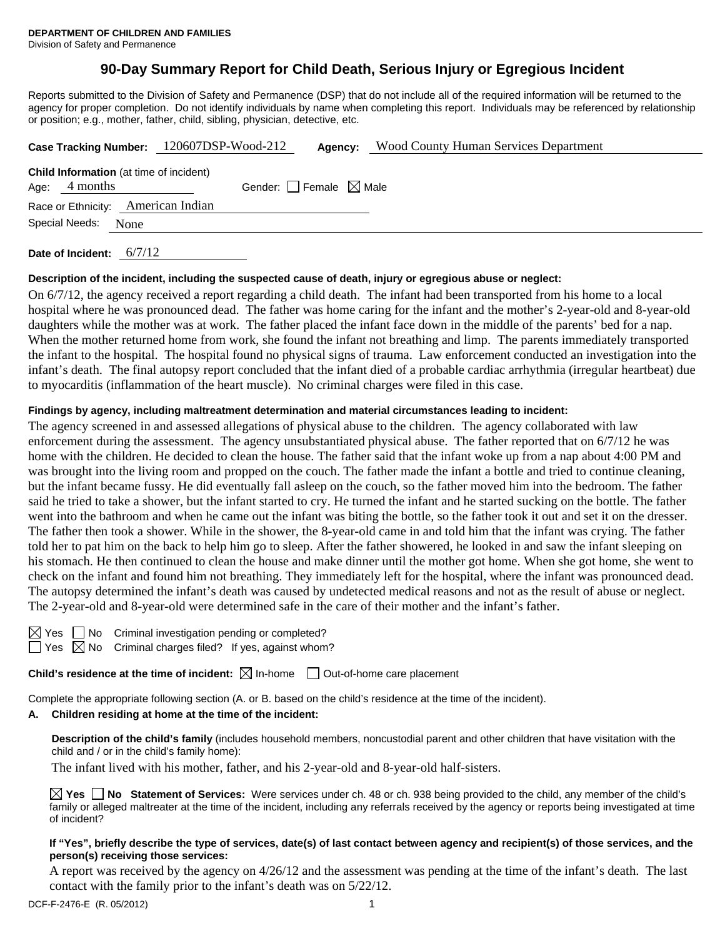# **90-Day Summary Report for Child Death, Serious Injury or Egregious Incident**

Reports submitted to the Division of Safety and Permanence (DSP) that do not include all of the required information will be returned to the agency for proper completion. Do not identify individuals by name when completing this report. Individuals may be referenced by relationship or position; e.g., mother, father, child, sibling, physician, detective, etc.

|                     |                                                                   |  | Case Tracking Number: 120607DSP-Wood-212 |  | Agency:                         | <b>Wood County Human Services Department</b> |  |
|---------------------|-------------------------------------------------------------------|--|------------------------------------------|--|---------------------------------|----------------------------------------------|--|
|                     | <b>Child Information</b> (at time of incident)<br>Age: $4$ months |  |                                          |  | Gender: Female $\boxtimes$ Male |                                              |  |
|                     |                                                                   |  | Race or Ethnicity: American Indian       |  |                                 |                                              |  |
| Special Needs: None |                                                                   |  |                                          |  |                                 |                                              |  |
|                     |                                                                   |  |                                          |  |                                 |                                              |  |

**Date of Incident:** 6/7/12

### **Description of the incident, including the suspected cause of death, injury or egregious abuse or neglect:**

On 6/7/12, the agency received a report regarding a child death. The infant had been transported from his home to a local hospital where he was pronounced dead. The father was home caring for the infant and the mother's 2-year-old and 8-year-old daughters while the mother was at work. The father placed the infant face down in the middle of the parents' bed for a nap. When the mother returned home from work, she found the infant not breathing and limp. The parents immediately transported the infant to the hospital. The hospital found no physical signs of trauma. Law enforcement conducted an investigation into the infant's death. The final autopsy report concluded that the infant died of a probable cardiac arrhythmia (irregular heartbeat) due to myocarditis (inflammation of the heart muscle). No criminal charges were filed in this case.

### **Findings by agency, including maltreatment determination and material circumstances leading to incident:**

The agency screened in and assessed allegations of physical abuse to the children. The agency collaborated with law enforcement during the assessment. The agency unsubstantiated physical abuse. The father reported that on 6/7/12 he was home with the children. He decided to clean the house. The father said that the infant woke up from a nap about 4:00 PM and was brought into the living room and propped on the couch. The father made the infant a bottle and tried to continue cleaning, but the infant became fussy. He did eventually fall asleep on the couch, so the father moved him into the bedroom. The father said he tried to take a shower, but the infant started to cry. He turned the infant and he started sucking on the bottle. The father went into the bathroom and when he came out the infant was biting the bottle, so the father took it out and set it on the dresser. The father then took a shower. While in the shower, the 8-year-old came in and told him that the infant was crying. The father told her to pat him on the back to help him go to sleep. After the father showered, he looked in and saw the infant sleeping on his stomach. He then continued to clean the house and make dinner until the mother got home. When she got home, she went to check on the infant and found him not breathing. They immediately left for the hospital, where the infant was pronounced dead. The autopsy determined the infant's death was caused by undetected medical reasons and not as the result of abuse or neglect. The 2-year-old and 8-year-old were determined safe in the care of their mother and the infant's father.

No Criminal investigation pending or completed?

No Criminal charges filed? If yes, against whom?

**Child's residence at the time of incident:**  $\boxtimes$  In-home  $\Box$  Out-of-home care placement

Complete the appropriate following section (A. or B. based on the child's residence at the time of the incident).

## **A. Children residing at home at the time of the incident:**

**Description of the child's family** (includes household members, noncustodial parent and other children that have visitation with the child and / or in the child's family home):

The infant lived with his mother, father, and his 2-year-old and 8-year-old half-sisters.

**Yes No Statement of Services:** Were services under ch. 48 or ch. 938 being provided to the child, any member of the child's family or alleged maltreater at the time of the incident, including any referrals received by the agency or reports being investigated at time of incident?

### **If "Yes", briefly describe the type of services, date(s) of last contact between agency and recipient(s) of those services, and the person(s) receiving those services:**

A report was received by the agency on 4/26/12 and the assessment was pending at the time of the infant's death. The last contact with the family prior to the infant's death was on 5/22/12.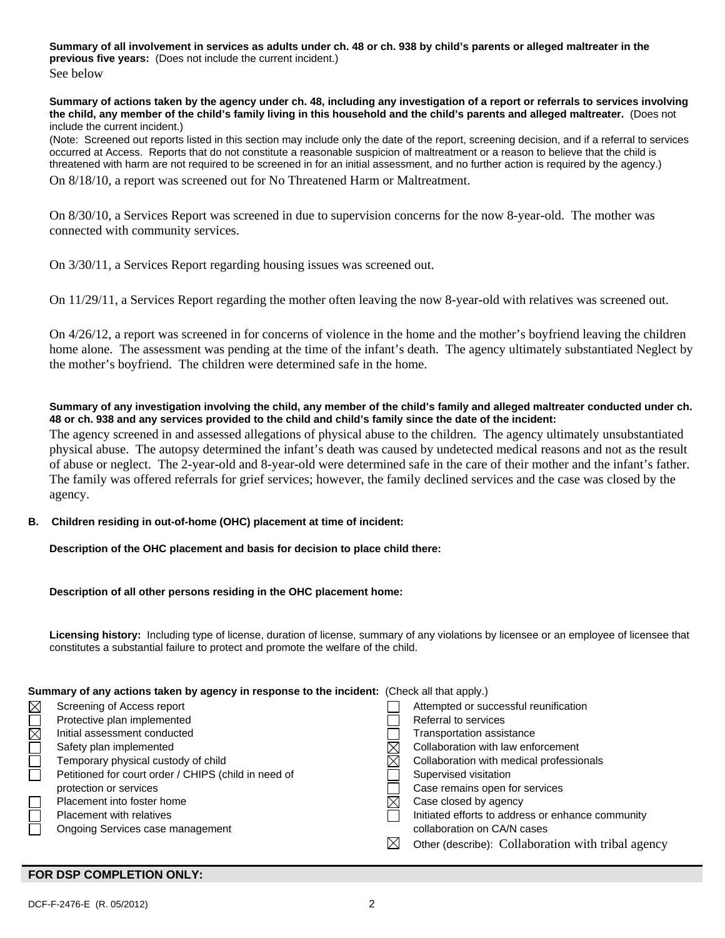**Summary of all involvement in services as adults under ch. 48 or ch. 938 by child's parents or alleged maltreater in the previous five years:** (Does not include the current incident.)

See below

**Summary of actions taken by the agency under ch. 48, including any investigation of a report or referrals to services involving the child, any member of the child's family living in this household and the child's parents and alleged maltreater.** (Does not include the current incident.)

(Note: Screened out reports listed in this section may include only the date of the report, screening decision, and if a referral to services occurred at Access. Reports that do not constitute a reasonable suspicion of maltreatment or a reason to believe that the child is threatened with harm are not required to be screened in for an initial assessment, and no further action is required by the agency.)

On 8/18/10, a report was screened out for No Threatened Harm or Maltreatment.

On 8/30/10, a Services Report was screened in due to supervision concerns for the now 8-year-old. The mother was connected with community services.

On 3/30/11, a Services Report regarding housing issues was screened out.

On 11/29/11, a Services Report regarding the mother often leaving the now 8-year-old with relatives was screened out.

On 4/26/12, a report was screened in for concerns of violence in the home and the mother's boyfriend leaving the children home alone. The assessment was pending at the time of the infant's death. The agency ultimately substantiated Neglect by the mother's boyfriend. The children were determined safe in the home.

### **Summary of any investigation involving the child, any member of the child's family and alleged maltreater conducted under ch. 48 or ch. 938 and any services provided to the child and child's family since the date of the incident:**

The agency screened in and assessed allegations of physical abuse to the children. The agency ultimately unsubstantiated physical abuse. The autopsy determined the infant's death was caused by undetected medical reasons and not as the result of abuse or neglect. The 2-year-old and 8-year-old were determined safe in the care of their mother and the infant's father. The family was offered referrals for grief services; however, the family declined services and the case was closed by the agency.

### **B. Children residing in out-of-home (OHC) placement at time of incident:**

### **Description of the OHC placement and basis for decision to place child there:**

### **Description of all other persons residing in the OHC placement home:**

**Licensing history:** Including type of license, duration of license, summary of any violations by licensee or an employee of licensee that constitutes a substantial failure to protect and promote the welfare of the child.

### **Summary of any actions taken by agency in response to the incident:** (Check all that apply.)

| $\boxtimes$              | Screening of Access report                           |             | Attempted or successful reunification              |
|--------------------------|------------------------------------------------------|-------------|----------------------------------------------------|
|                          | Protective plan implemented                          |             | Referral to services                               |
| $\boxtimes \square$      | Initial assessment conducted                         |             | Transportation assistance                          |
| $\overline{\phantom{a}}$ | Safety plan implemented                              |             | Collaboration with law enforcement                 |
| $\Box$                   | Temporary physical custody of child                  |             | Collaboration with medical professionals           |
|                          | Petitioned for court order / CHIPS (child in need of |             | Supervised visitation                              |
|                          | protection or services                               |             | Case remains open for services                     |
|                          | Placement into foster home                           |             | Case closed by agency                              |
| $\Box$                   | <b>Placement with relatives</b>                      |             | Initiated efforts to address or enhance community  |
|                          | Ongoing Services case management                     |             | collaboration on CA/N cases                        |
|                          |                                                      | $\boxtimes$ | Other (describe): Collaboration with tribal agency |
|                          |                                                      |             |                                                    |

### **FOR DSP COMPLETION ONLY:**